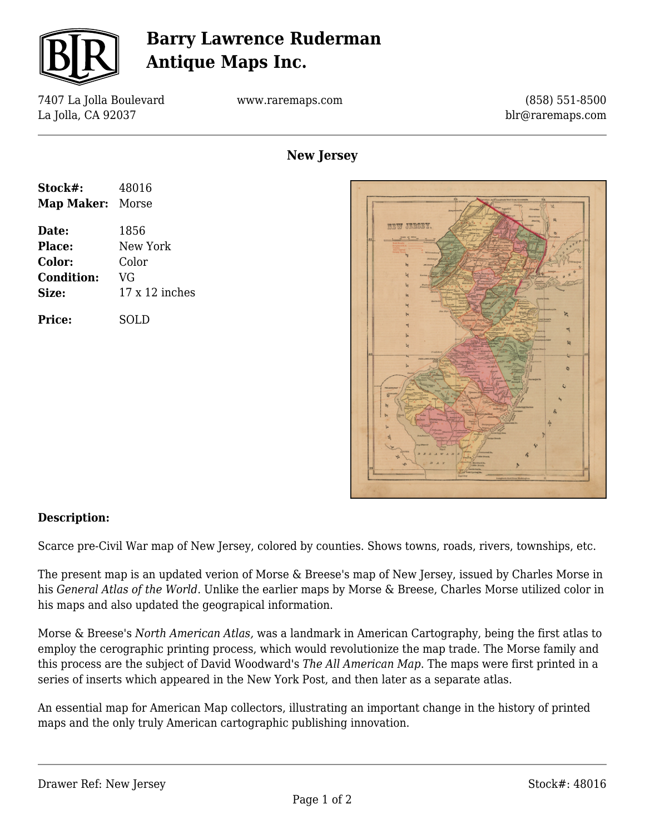

## **Barry Lawrence Ruderman Antique Maps Inc.**

7407 La Jolla Boulevard La Jolla, CA 92037

www.raremaps.com

(858) 551-8500 blr@raremaps.com

**New Jersey**





## **Description:**

Scarce pre-Civil War map of New Jersey, colored by counties. Shows towns, roads, rivers, townships, etc.

The present map is an updated verion of Morse & Breese's map of New Jersey, issued by Charles Morse in his *General Atlas of the World*. Unlike the earlier maps by Morse & Breese, Charles Morse utilized color in his maps and also updated the geograpical information.

Morse & Breese's *North American Atlas,* was a landmark in American Cartography, being the first atlas to employ the cerographic printing process, which would revolutionize the map trade. The Morse family and this process are the subject of David Woodward's *The All American Map*. The maps were first printed in a series of inserts which appeared in the New York Post, and then later as a separate atlas.

An essential map for American Map collectors, illustrating an important change in the history of printed maps and the only truly American cartographic publishing innovation.